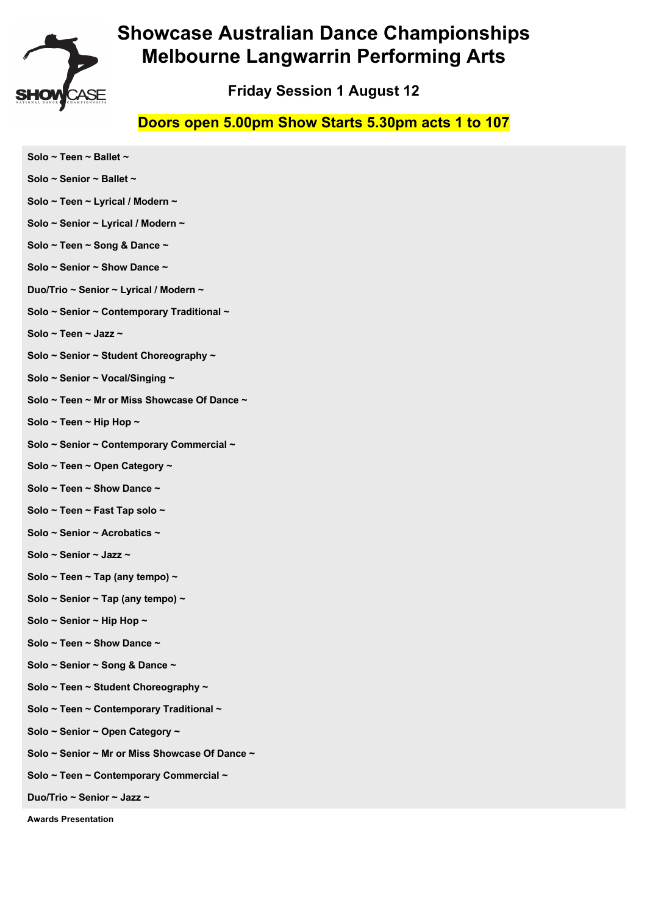

## **Friday Session 1 August 12**

#### **Doors open 5.00pm Show Starts 5.30pm acts 1 to 107**

**Solo ~ Teen ~ Ballet ~ Solo ~ Senior ~ Ballet ~ Solo ~ Teen ~ Lyrical / Modern ~ Solo ~ Senior ~ Lyrical / Modern ~ Solo ~ Teen ~ Song & Dance ~ Solo ~ Senior ~ Show Dance ~ Duo/Trio ~ Senior ~ Lyrical / Modern ~ Solo ~ Senior ~ Contemporary Traditional ~ Solo ~ Teen ~ Jazz ~ Solo ~ Senior ~ Student Choreography ~ Solo ~ Senior ~ Vocal/Singing ~ Solo ~ Teen ~ Mr or Miss Showcase Of Dance ~ Solo ~ Teen ~ Hip Hop ~ Solo ~ Senior ~ Contemporary Commercial ~ Solo ~ Teen ~ Open Category ~ Solo ~ Teen ~ Show Dance ~ Solo ~ Teen ~ Fast Tap solo ~ Solo ~ Senior ~ Acrobatics ~ Solo ~ Senior ~ Jazz ~ Solo ~ Teen ~ Tap (any tempo) ~ Solo ~ Senior ~ Tap (any tempo) ~ Solo ~ Senior ~ Hip Hop ~ Solo ~ Teen ~ Show Dance ~ Solo ~ Senior ~ Song & Dance ~ Solo ~ Teen ~ Student Choreography ~ Solo ~ Teen ~ Contemporary Traditional ~ Solo ~ Senior ~ Open Category ~ Solo ~ Senior ~ Mr or Miss Showcase Of Dance ~ Solo ~ Teen ~ Contemporary Commercial ~ Duo/Trio ~ Senior ~ Jazz ~**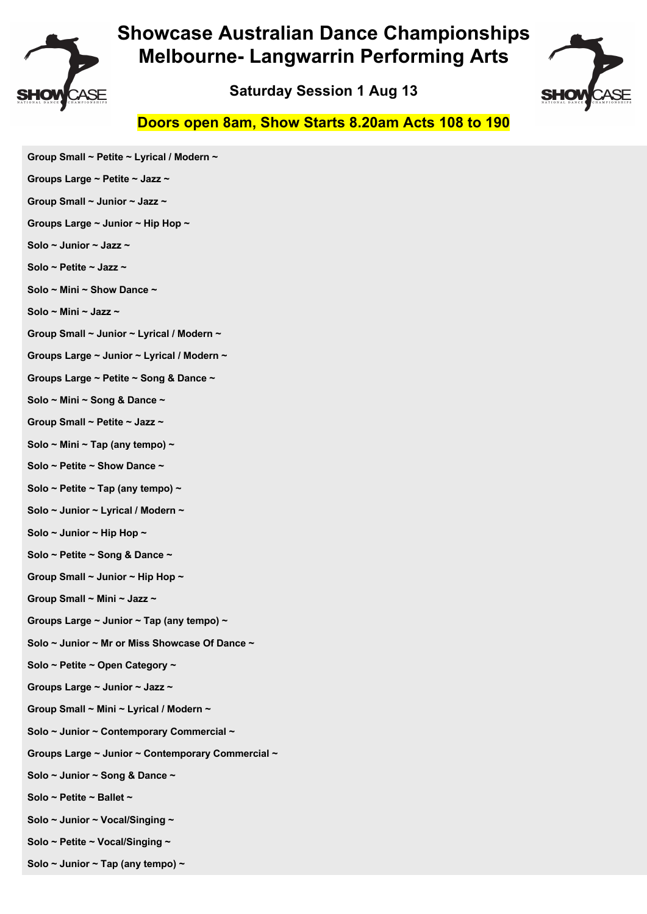

**Saturday Session 1 Aug 13**



#### **Doors open 8am, Show Starts 8.20am Acts 108 to 190**

- **Group Small ~ Petite ~ Lyrical / Modern ~**
- **Groups Large ~ Petite ~ Jazz ~**
- **Group Small ~ Junior ~ Jazz ~**
- **Groups Large ~ Junior ~ Hip Hop ~**
- **Solo ~ Junior ~ Jazz ~**
- **Solo ~ Petite ~ Jazz ~**
- **Solo ~ Mini ~ Show Dance ~**
- **Solo ~ Mini ~ Jazz ~**
- **Group Small ~ Junior ~ Lyrical / Modern ~**
- **Groups Large ~ Junior ~ Lyrical / Modern ~**
- **Groups Large ~ Petite ~ Song & Dance ~**
- **Solo ~ Mini ~ Song & Dance ~**
- **Group Small ~ Petite ~ Jazz ~**
- **Solo ~ Mini ~ Tap (any tempo) ~**
- **Solo ~ Petite ~ Show Dance ~**
- **Solo ~ Petite ~ Tap (any tempo) ~**
- **Solo ~ Junior ~ Lyrical / Modern ~**
- **Solo ~ Junior ~ Hip Hop ~**
- **Solo ~ Petite ~ Song & Dance ~**
- **Group Small ~ Junior ~ Hip Hop ~**
- **Group Small ~ Mini ~ Jazz ~**
- **Groups Large ~ Junior ~ Tap (any tempo) ~**
- **Solo ~ Junior ~ Mr or Miss Showcase Of Dance ~**
- **Solo ~ Petite ~ Open Category ~**
- **Groups Large ~ Junior ~ Jazz ~**
- **Group Small ~ Mini ~ Lyrical / Modern ~**
- **Solo ~ Junior ~ Contemporary Commercial ~**
- **Groups Large ~ Junior ~ Contemporary Commercial ~**
- **Solo ~ Junior ~ Song & Dance ~**
- **Solo ~ Petite ~ Ballet ~**
- **Solo ~ Junior ~ Vocal/Singing ~**
- **Solo ~ Petite ~ Vocal/Singing ~**
- **Solo ~ Junior ~ Tap (any tempo) ~**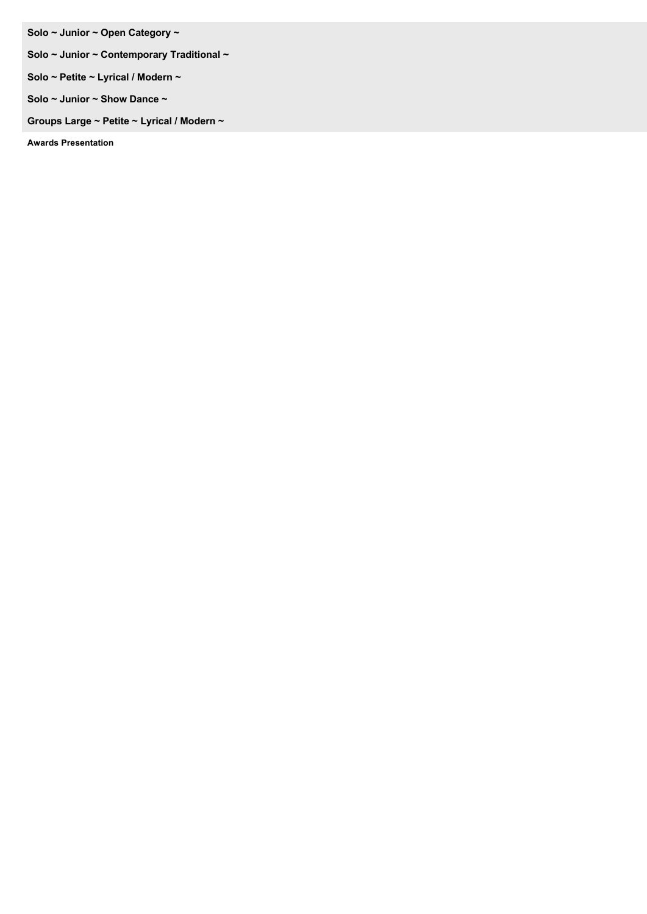**Solo ~ Junior ~ Open Category ~** 

- **Solo ~ Junior ~ Contemporary Traditional ~**
- **Solo ~ Petite ~ Lyrical / Modern ~**
- **Solo ~ Junior ~ Show Dance ~**

**Groups Large ~ Petite ~ Lyrical / Modern ~**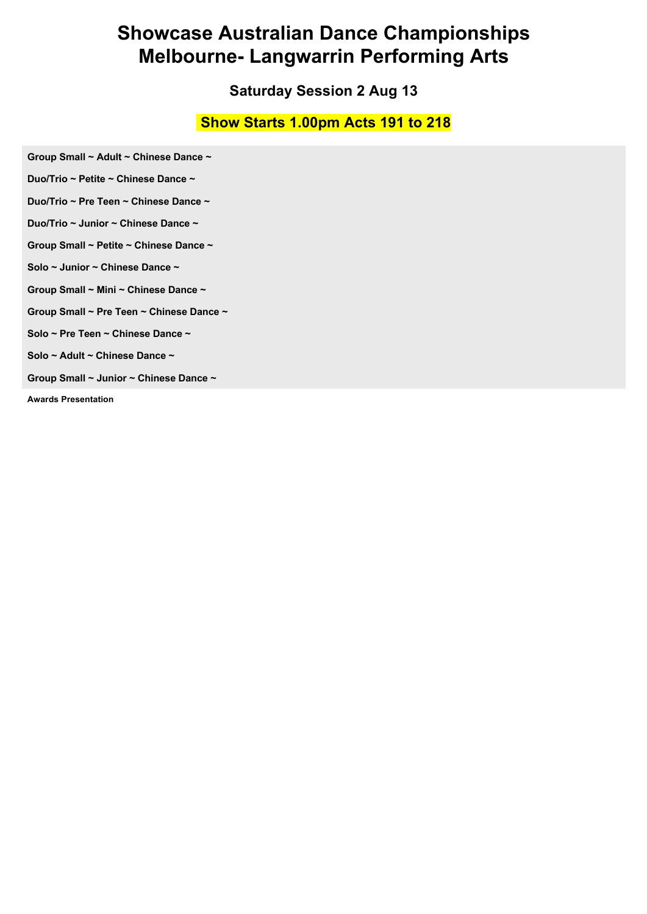#### **Saturday Session 2 Aug 13**

#### **Show Starts 1.00pm Acts 191 to 218**

**Group Small ~ Adult ~ Chinese Dance ~** 

**Duo/Trio ~ Petite ~ Chinese Dance ~** 

**Duo/Trio ~ Pre Teen ~ Chinese Dance ~** 

**Duo/Trio ~ Junior ~ Chinese Dance ~** 

**Group Small ~ Petite ~ Chinese Dance ~** 

**Solo ~ Junior ~ Chinese Dance ~** 

**Group Small ~ Mini ~ Chinese Dance ~** 

**Group Small ~ Pre Teen ~ Chinese Dance ~** 

**Solo ~ Pre Teen ~ Chinese Dance ~** 

**Solo ~ Adult ~ Chinese Dance ~** 

**Group Small ~ Junior ~ Chinese Dance ~**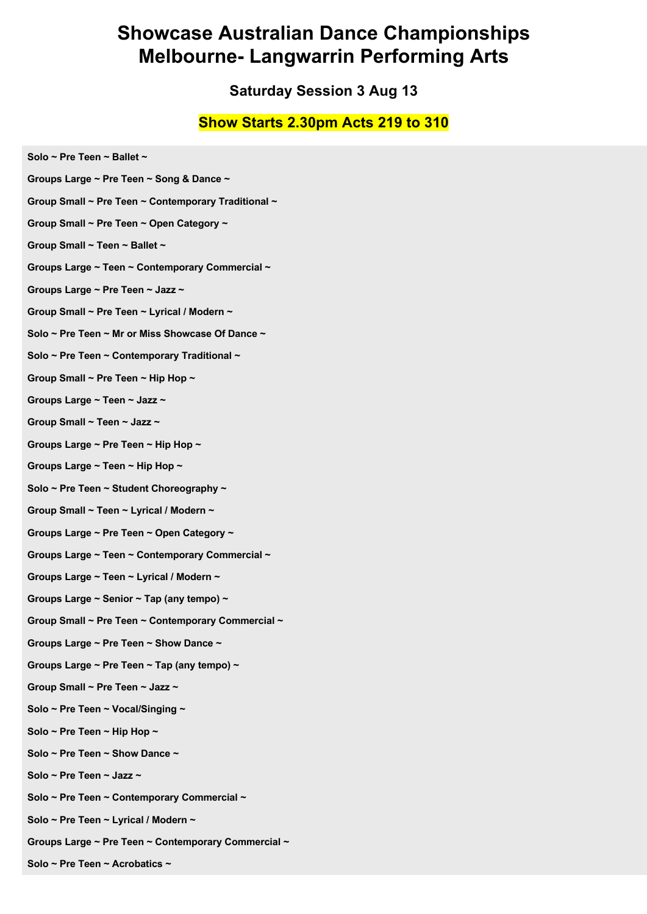**Saturday Session 3 Aug 13**

#### **Show Starts 2.30pm Acts 219 to 310**

**Solo ~ Pre Teen ~ Ballet ~ Groups Large ~ Pre Teen ~ Song & Dance ~ Group Small ~ Pre Teen ~ Contemporary Traditional ~ Group Small ~ Pre Teen ~ Open Category ~ Group Small ~ Teen ~ Ballet ~ Groups Large ~ Teen ~ Contemporary Commercial ~ Groups Large ~ Pre Teen ~ Jazz ~ Group Small ~ Pre Teen ~ Lyrical / Modern ~ Solo ~ Pre Teen ~ Mr or Miss Showcase Of Dance ~ Solo ~ Pre Teen ~ Contemporary Traditional ~ Group Small ~ Pre Teen ~ Hip Hop ~ Groups Large ~ Teen ~ Jazz ~ Group Small ~ Teen ~ Jazz ~ Groups Large ~ Pre Teen ~ Hip Hop ~ Groups Large ~ Teen ~ Hip Hop ~ Solo ~ Pre Teen ~ Student Choreography ~ Group Small ~ Teen ~ Lyrical / Modern ~ Groups Large ~ Pre Teen ~ Open Category ~ Groups Large ~ Teen ~ Contemporary Commercial ~ Groups Large ~ Teen ~ Lyrical / Modern ~ Groups Large ~ Senior ~ Tap (any tempo) ~ Group Small ~ Pre Teen ~ Contemporary Commercial ~ Groups Large ~ Pre Teen ~ Show Dance ~ Groups Large ~ Pre Teen ~ Tap (any tempo) ~ Group Small ~ Pre Teen ~ Jazz ~ Solo ~ Pre Teen ~ Vocal/Singing ~ Solo ~ Pre Teen ~ Hip Hop ~ Solo ~ Pre Teen ~ Show Dance ~ Solo ~ Pre Teen ~ Jazz ~ Solo ~ Pre Teen ~ Contemporary Commercial ~ Solo ~ Pre Teen ~ Lyrical / Modern ~ Groups Large ~ Pre Teen ~ Contemporary Commercial ~** 

**Solo ~ Pre Teen ~ Acrobatics ~**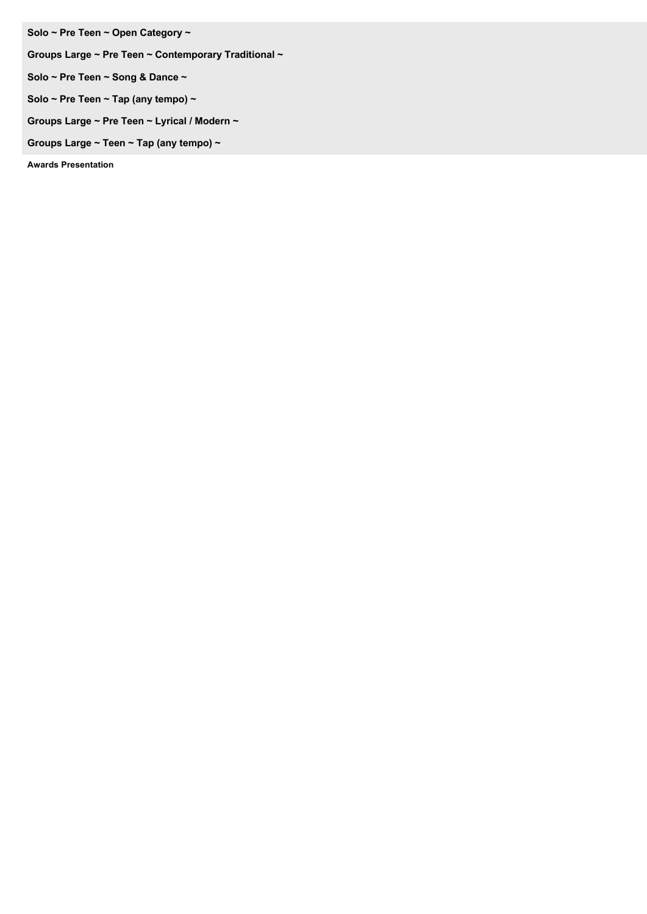**Solo ~ Pre Teen ~ Open Category ~** 

**Groups Large ~ Pre Teen ~ Contemporary Traditional ~** 

**Solo ~ Pre Teen ~ Song & Dance ~** 

**Solo ~ Pre Teen ~ Tap (any tempo) ~** 

**Groups Large ~ Pre Teen ~ Lyrical / Modern ~** 

**Groups Large ~ Teen ~ Tap (any tempo) ~**